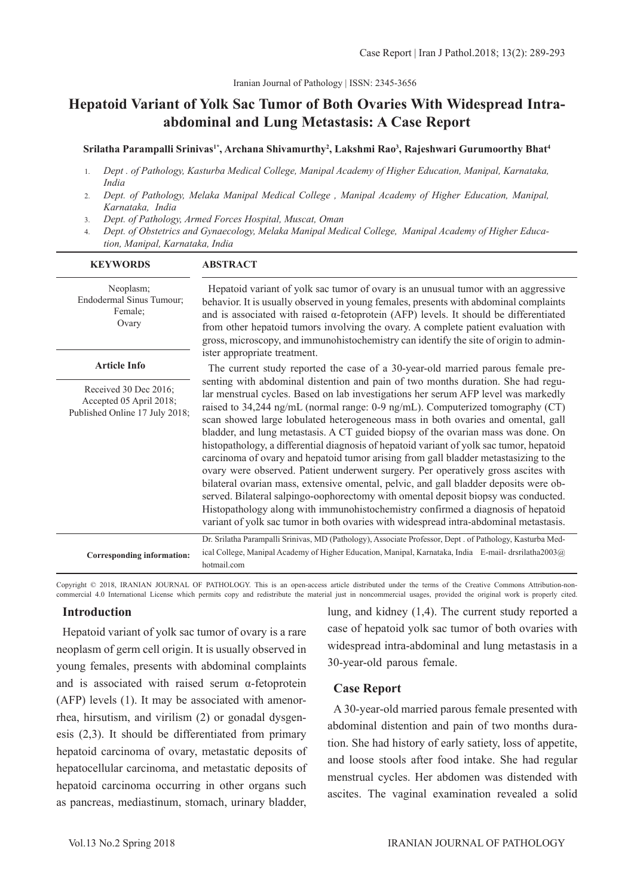# **Hepatoid Variant of Yolk Sac Tumor of Both Ovaries With Widespread Intraabdominal and Lung Metastasis: A Case Report**

**Srilatha Parampalli Srinivas1\*, Archana Shivamurthy2 , Lakshmi Rao3 , Rajeshwari Gurumoorthy Bhat4**

- 1. *Dept . of Pathology, Kasturba Medical College, Manipal Academy of Higher Education, Manipal, Karnataka, India*
- 2. *Dept. of Pathology, Melaka Manipal Medical College , Manipal Academy of Higher Education, Manipal, Karnataka, India*
- 3. *Dept. of Pathology, Armed Forces Hospital, Muscat, Oman*
- 4. *Dept. of Obstetrics and Gynaecology, Melaka Manipal Medical College, Manipal Academy of Higher Education, Manipal, Karnataka, India*

| <b>KEYWORDS</b>                                                                    | <b>ABSTRACT</b>                                                                                                                                                                                                                                                                                                                                                                                                                                                                                                                                                                                                                                                                                                                                                                                                                                                                                                                                                                                                                                                         |
|------------------------------------------------------------------------------------|-------------------------------------------------------------------------------------------------------------------------------------------------------------------------------------------------------------------------------------------------------------------------------------------------------------------------------------------------------------------------------------------------------------------------------------------------------------------------------------------------------------------------------------------------------------------------------------------------------------------------------------------------------------------------------------------------------------------------------------------------------------------------------------------------------------------------------------------------------------------------------------------------------------------------------------------------------------------------------------------------------------------------------------------------------------------------|
| Neoplasm;<br>Endodermal Sinus Tumour;<br>Female;<br>Ovary                          | Hepatoid variant of yolk sac tumor of ovary is an unusual tumor with an aggressive<br>behavior. It is usually observed in young females, presents with abdominal complaints<br>and is associated with raised $\alpha$ -fetoprotein (AFP) levels. It should be differentiated<br>from other hepatoid tumors involving the ovary. A complete patient evaluation with<br>gross, microscopy, and immunohistochemistry can identify the site of origin to admin-<br>ister appropriate treatment.                                                                                                                                                                                                                                                                                                                                                                                                                                                                                                                                                                             |
| <b>Article Info</b>                                                                | The current study reported the case of a 30-year-old married parous female pre-                                                                                                                                                                                                                                                                                                                                                                                                                                                                                                                                                                                                                                                                                                                                                                                                                                                                                                                                                                                         |
| Received 30 Dec 2016;<br>Accepted 05 April 2018;<br>Published Online 17 July 2018; | senting with abdominal distention and pain of two months duration. She had regu-<br>lar menstrual cycles. Based on lab investigations her serum AFP level was markedly<br>raised to 34,244 ng/mL (normal range: 0-9 ng/mL). Computerized tomography (CT)<br>scan showed large lobulated heterogeneous mass in both ovaries and omental, gall<br>bladder, and lung metastasis. A CT guided biopsy of the ovarian mass was done. On<br>histopathology, a differential diagnosis of hepatoid variant of yolk sac tumor, hepatoid<br>carcinoma of ovary and hepatoid tumor arising from gall bladder metastasizing to the<br>ovary were observed. Patient underwent surgery. Per operatively gross ascites with<br>bilateral ovarian mass, extensive omental, pelvic, and gall bladder deposits were ob-<br>served. Bilateral salpingo-oophorectomy with omental deposit biopsy was conducted.<br>Histopathology along with immunohistochemistry confirmed a diagnosis of hepatoid<br>variant of yolk sac tumor in both ovaries with widespread intra-abdominal metastasis. |
| Corresponding information:                                                         | Dr. Srilatha Parampalli Srinivas, MD (Pathology), Associate Professor, Dept. of Pathology, Kasturba Med-<br>ical College, Manipal Academy of Higher Education, Manipal, Karnataka, India E-mail- drsrilatha2003@<br>hotmail.com                                                                                                                                                                                                                                                                                                                                                                                                                                                                                                                                                                                                                                                                                                                                                                                                                                         |

Copyright © 2018, IRANIAN JOURNAL OF PATHOLOGY. This is an open-access article distributed under the terms of the Creative Commons Attribution-noncommercial 4.0 International License which permits copy and redistribute the material just in noncommercial usages, provided the original work is properly cited.

#### **Introduction**

Hepatoid variant of yolk sac tumor of ovary is a rare neoplasm of germ cell origin. It is usually observed in young females, presents with abdominal complaints and is associated with raised serum α-fetoprotein (AFP) levels (1). It may be associated with amenorrhea, hirsutism, and virilism (2) or gonadal dysgenesis (2,3). It should be differentiated from primary hepatoid carcinoma of ovary, metastatic deposits of hepatocellular carcinoma, and metastatic deposits of hepatoid carcinoma occurring in other organs such as pancreas, mediastinum, stomach, urinary bladder,

lung, and kidney (1,4). The current study reported a case of hepatoid yolk sac tumor of both ovaries with widespread intra-abdominal and lung metastasis in a 30-year-old parous female.

#### **Case Report**

A 30-year-old married parous female presented with abdominal distention and pain of two months duration. She had history of early satiety, loss of appetite, and loose stools after food intake. She had regular menstrual cycles. Her abdomen was distended with ascites. The vaginal examination revealed a solid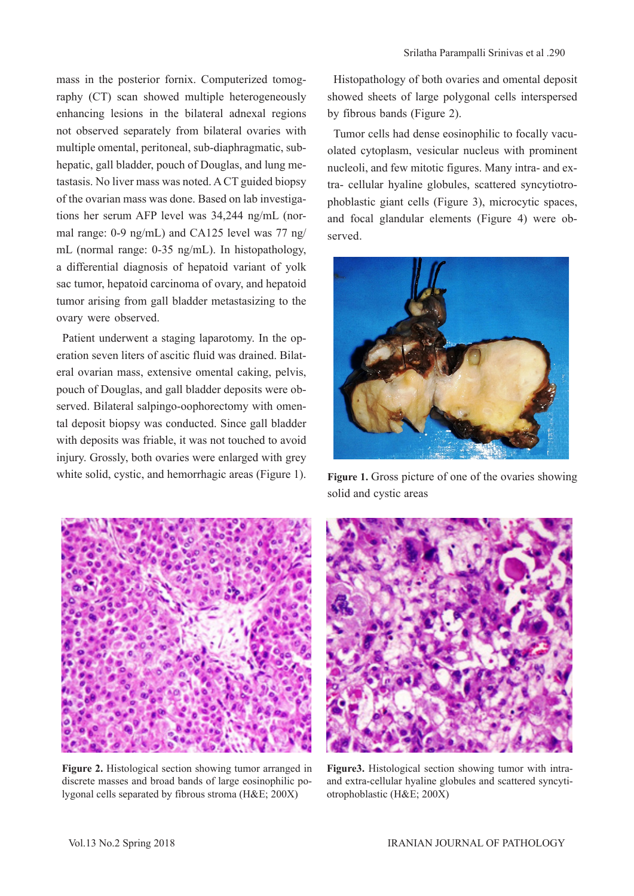mass in the posterior fornix. Computerized tomography (CT) scan showed multiple heterogeneously enhancing lesions in the bilateral adnexal regions not observed separately from bilateral ovaries with multiple omental, peritoneal, sub-diaphragmatic, subhepatic, gall bladder, pouch of Douglas, and lung metastasis. No liver mass was noted. A CT guided biopsy of the ovarian mass was done. Based on lab investigations her serum AFP level was 34,244 ng/mL (normal range: 0-9 ng/mL) and CA125 level was 77 ng/ mL (normal range: 0-35 ng/mL). In histopathology, a differential diagnosis of hepatoid variant of yolk sac tumor, hepatoid carcinoma of ovary, and hepatoid tumor arising from gall bladder metastasizing to the ovary were observed.

Patient underwent a staging laparotomy. In the operation seven liters of ascitic fluid was drained. Bilateral ovarian mass, extensive omental caking, pelvis, pouch of Douglas, and gall bladder deposits were observed. Bilateral salpingo-oophorectomy with omental deposit biopsy was conducted. Since gall bladder with deposits was friable, it was not touched to avoid injury. Grossly, both ovaries were enlarged with grey white solid, cystic, and hemorrhagic areas (Figure 1).

Histopathology of both ovaries and omental deposit showed sheets of large polygonal cells interspersed by fibrous bands (Figure 2).

Tumor cells had dense eosinophilic to focally vacuolated cytoplasm, vesicular nucleus with prominent nucleoli, and few mitotic figures. Many intra- and extra- cellular hyaline globules, scattered syncytiotrophoblastic giant cells (Figure 3), microcytic spaces, and focal glandular elements (Figure 4) were observed.



Figure 1. Gross picture of one of the ovaries showing solid and cystic areas



**Figure 2.** Histological section showing tumor arranged in discrete masses and broad bands of large eosinophilic polygonal cells separated by fibrous stroma (H&E; 200X)



**Figure3.** Histological section showing tumor with intraand extra-cellular hyaline globules and scattered syncytiotrophoblastic (H&E; 200X)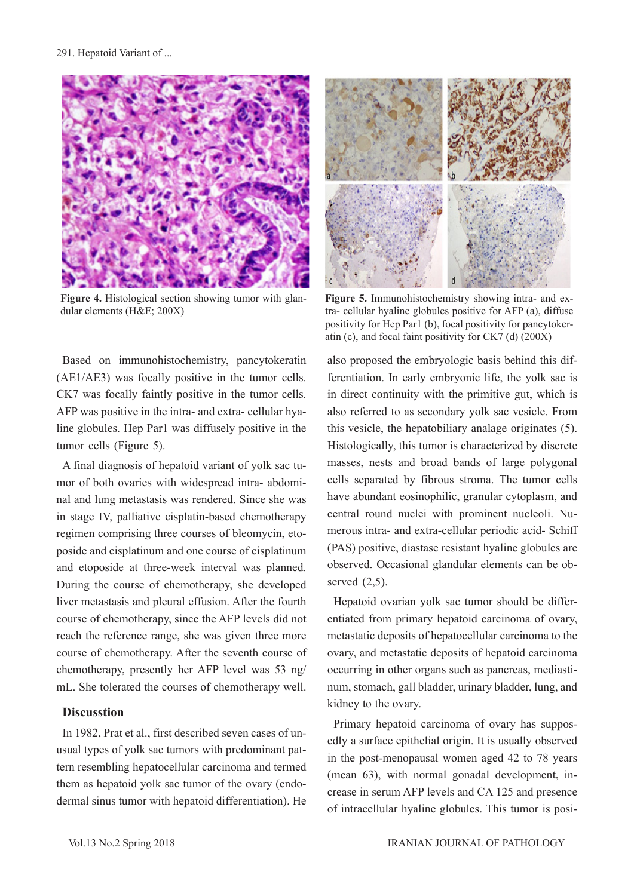

**Figure 4.** Histological section showing tumor with glandular elements (H&E; 200X)

Based on immunohistochemistry, pancytokeratin (AE1/AE3) was focally positive in the tumor cells. CK7 was focally faintly positive in the tumor cells. AFP was positive in the intra- and extra- cellular hyaline globules. Hep Par1 was diffusely positive in the tumor cells (Figure 5).

A final diagnosis of hepatoid variant of yolk sac tumor of both ovaries with widespread intra- abdominal and lung metastasis was rendered. Since she was in stage IV, palliative cisplatin-based chemotherapy regimen comprising three courses of bleomycin, etoposide and cisplatinum and one course of cisplatinum and etoposide at three-week interval was planned. During the course of chemotherapy, she developed liver metastasis and pleural effusion. After the fourth course of chemotherapy, since the AFP levels did not reach the reference range, she was given three more course of chemotherapy. After the seventh course of chemotherapy, presently her AFP level was 53 ng/ mL. She tolerated the courses of chemotherapy well.

#### **Discusstion**

In 1982, Prat et al., first described seven cases of unusual types of yolk sac tumors with predominant pattern resembling hepatocellular carcinoma and termed them as hepatoid yolk sac tumor of the ovary (endodermal sinus tumor with hepatoid differentiation). He



**Figure 5.** Immunohistochemistry showing intra- and extra- cellular hyaline globules positive for AFP (a), diffuse positivity for Hep Par1 (b), focal positivity for pancytokeratin (c), and focal faint positivity for CK7 (d) (200X)

also proposed the embryologic basis behind this differentiation. In early embryonic life, the yolk sac is in direct continuity with the primitive gut, which is also referred to as secondary yolk sac vesicle. From this vesicle, the hepatobiliary analage originates (5). Histologically, this tumor is characterized by discrete masses, nests and broad bands of large polygonal cells separated by fibrous stroma. The tumor cells have abundant eosinophilic, granular cytoplasm, and central round nuclei with prominent nucleoli. Numerous intra- and extra-cellular periodic acid- Schiff (PAS) positive, diastase resistant hyaline globules are observed. Occasional glandular elements can be observed (2,5).

Hepatoid ovarian yolk sac tumor should be differentiated from primary hepatoid carcinoma of ovary, metastatic deposits of hepatocellular carcinoma to the ovary, and metastatic deposits of hepatoid carcinoma occurring in other organs such as pancreas, mediastinum, stomach, gall bladder, urinary bladder, lung, and kidney to the ovary.

Primary hepatoid carcinoma of ovary has supposedly a surface epithelial origin. It is usually observed in the post-menopausal women aged 42 to 78 years (mean 63), with normal gonadal development, increase in serum AFP levels and CA 125 and presence of intracellular hyaline globules. This tumor is posi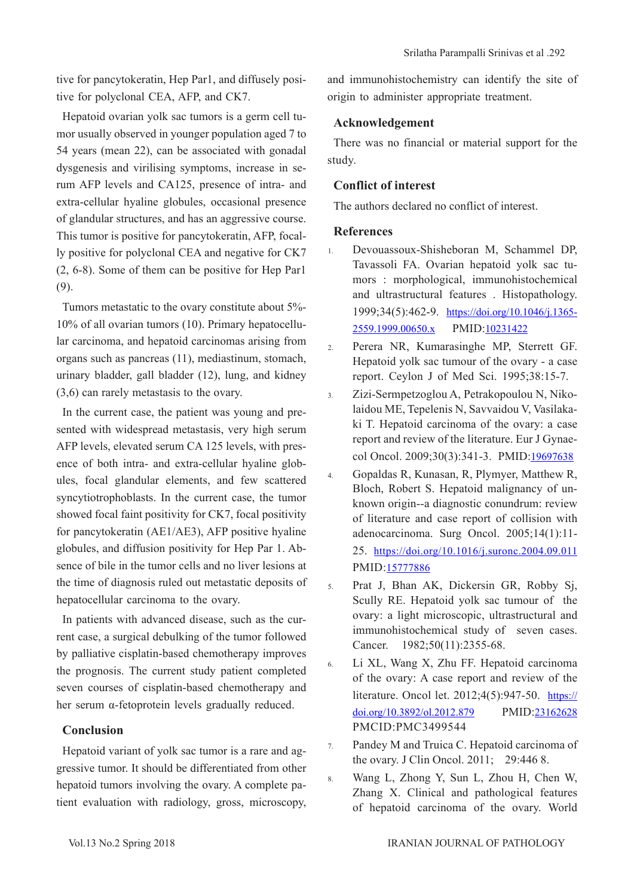tive for pancytokeratin, Hep Par1, and diffusely positive for polyclonal CEA, AFP, and CK7.

Hepatoid ovarian yolk sac tumors is a germ cell tumor usually observed in younger population aged 7 to 54 years (mean 22), can be associated with gonadal dysgenesis and virilising symptoms, increase in serum AFP levels and CA125, presence of intra- and extra-cellular hyaline globules, occasional presence of glandular structures, and has an aggressive course. This tumor is positive for pancytokeratin, AFP, focally positive for polyclonal CEA and negative for CK7 (2, 6-8). Some of them can be positive for Hep Par1 (9).

Tumors metastatic to the ovary constitute about 5%- 10% of all ovarian tumors (10). Primary hepatocellular carcinoma, and hepatoid carcinomas arising from organs such as pancreas (11), mediastinum, stomach, urinary bladder, gall bladder (12), lung, and kidney (3,6) can rarely metastasis to the ovary.

In the current case, the patient was young and presented with widespread metastasis, very high serum AFP levels, elevated serum CA 125 levels, with presence of both intra- and extra-cellular hyaline globules, focal glandular elements, and few scattered syncytiotrophoblasts. In the current case, the tumor showed focal faint positivity for CK7, focal positivity for pancytokeratin (AE1/AE3), AFP positive hyaline globules, and diffusion positivity for Hep Par 1. Absence of bile in the tumor cells and no liver lesions at the time of diagnosis ruled out metastatic deposits of hepatocellular carcinoma to the ovary.

In patients with advanced disease, such as the current case, a surgical debulking of the tumor followed by palliative cisplatin-based chemotherapy improves the prognosis. The current study patient completed seven courses of cisplatin-based chemotherapy and her serum α-fetoprotein levels gradually reduced.

### **Conclusion**

Hepatoid variant of yolk sac tumor is a rare and aggressive tumor. It should be differentiated from other hepatoid tumors involving the ovary. A complete patient evaluation with radiology, gross, microscopy, and immunohistochemistry can identify the site of origin to administer appropriate treatment.

## **Acknowledgement**

There was no financial or material support for the study.

### **Conflict of interest**

The authors declared no conflict of interest.

### **References**

- 1. Devouassoux-Shisheboran M, Schammel DP, Tavassoli FA. Ovarian hepatoid yolk sac tumors : morphological, immunohistochemical and ultrastructural features . Histopathology. 1999;34(5):462-9. [https://doi.org/10.1046/j.1365-](https://onlinelibrary.wiley.com/doi/abs/10.1046/j.1365-2559.1999.00650.x) [2559.1999.00650.x](https://onlinelibrary.wiley.com/doi/abs/10.1046/j.1365-2559.1999.00650.x) PMID:[10231422](https://www.ncbi.nlm.nih.gov/pubmed/10231422)
- 2. Perera NR, Kumarasinghe MP, Sterrett GF. Hepatoid yolk sac tumour of the ovary - a case report. Ceylon J of Med Sci. 1995;38:15-7.
- 3. Zizi-Sermpetzoglou A, Petrakopoulou N, Nikolaidou ME, Tepelenis N, Savvaidou V, Vasilakaki T. Hepatoid carcinoma of the ovary: a case report and review of the literature. Eur J Gynaecol Oncol. 2009;30(3):341-3. PMID:[19697638](https://www.ncbi.nlm.nih.gov/pubmed/19697638)
- 4. Gopaldas R, Kunasan, R, Plymyer, Matthew R, Bloch, Robert S. Hepatoid malignancy of unknown origin--a diagnostic conundrum: review of literature and case report of collision with adenocarcinoma. Surg Oncol. 2005;14(1):11- 25. [https://doi.org/10.1016/j.suronc.2004.09.011](https://www.sciencedirect.com/science/article/pii/S0960740404000520?via%3Dihub) PMID:[15777886](https://www.ncbi.nlm.nih.gov/pubmed/15777886)
- 5. Prat J, Bhan AK, Dickersin GR, Robby Sj, Scully RE. Hepatoid yolk sac tumour of the ovary: a light microscopic, ultrastructural and immunohistochemical study of seven cases. Cancer. 1982;50(11):2355-68.
- 6. Li XL, Wang X, Zhu FF. Hepatoid carcinoma of the ovary: A case report and review of the literature. Oncol let. 2012;4(5):947-50. [https://](https://www.spandidos-publications.com/10.3892/ol.2012.879) [doi.org/10.3892/ol.2012.879](https://www.spandidos-publications.com/10.3892/ol.2012.879) PMID[:23162628](https://www.ncbi.nlm.nih.gov/pubmed/23162628) PMCID:PMC3499544
- 7. Pandey M and Truica C. Hepatoid carcinoma of the ovary. J Clin Oncol. 2011; 29:446 8.
- 8. Wang L, Zhong Y, Sun L, Zhou H, Chen W, Zhang X. Clinical and pathological features of hepatoid carcinoma of the ovary. World